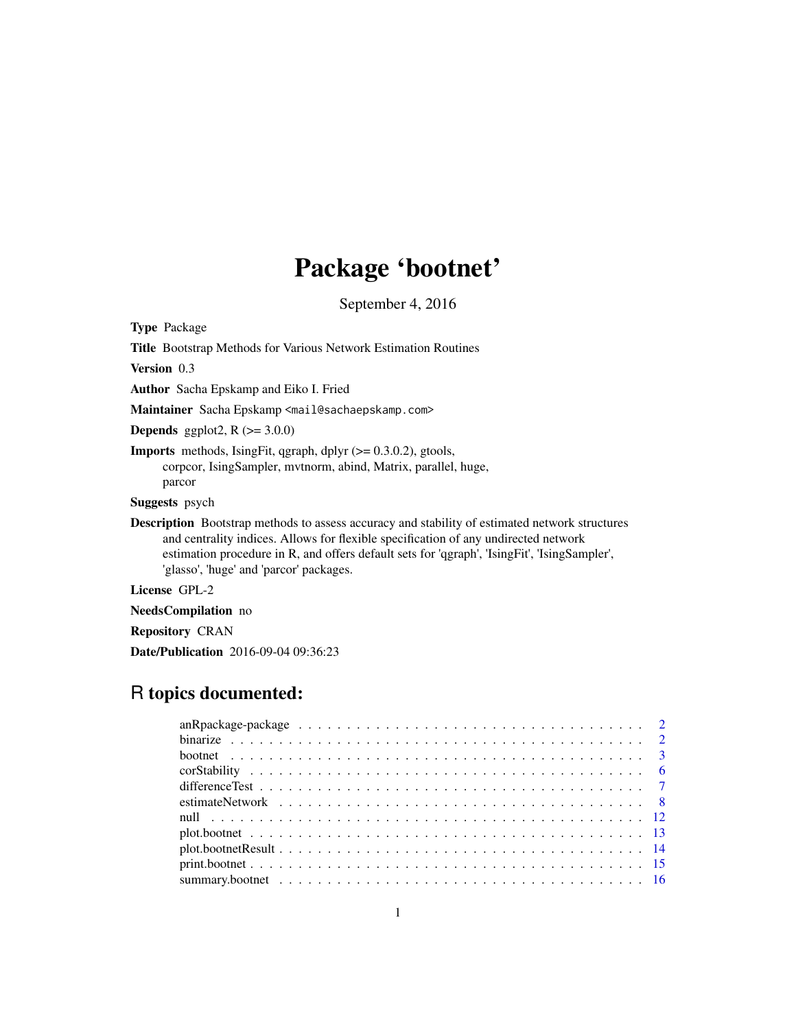# Package 'bootnet'

September 4, 2016

<span id="page-0-0"></span>Type Package

Title Bootstrap Methods for Various Network Estimation Routines

Version 0.3

Author Sacha Epskamp and Eiko I. Fried

Maintainer Sacha Epskamp <mail@sachaepskamp.com>

**Depends** ggplot2,  $R$  ( $>= 3.0.0$ )

**Imports** methods, IsingFit, qgraph, dplyr  $(>= 0.3.0.2)$ , gtools, corpcor, IsingSampler, mvtnorm, abind, Matrix, parallel, huge, parcor

Suggests psych

Description Bootstrap methods to assess accuracy and stability of estimated network structures and centrality indices. Allows for flexible specification of any undirected network estimation procedure in R, and offers default sets for 'qgraph', 'IsingFit', 'IsingSampler', 'glasso', 'huge' and 'parcor' packages.

License GPL-2

NeedsCompilation no

Repository CRAN

Date/Publication 2016-09-04 09:36:23

# R topics documented: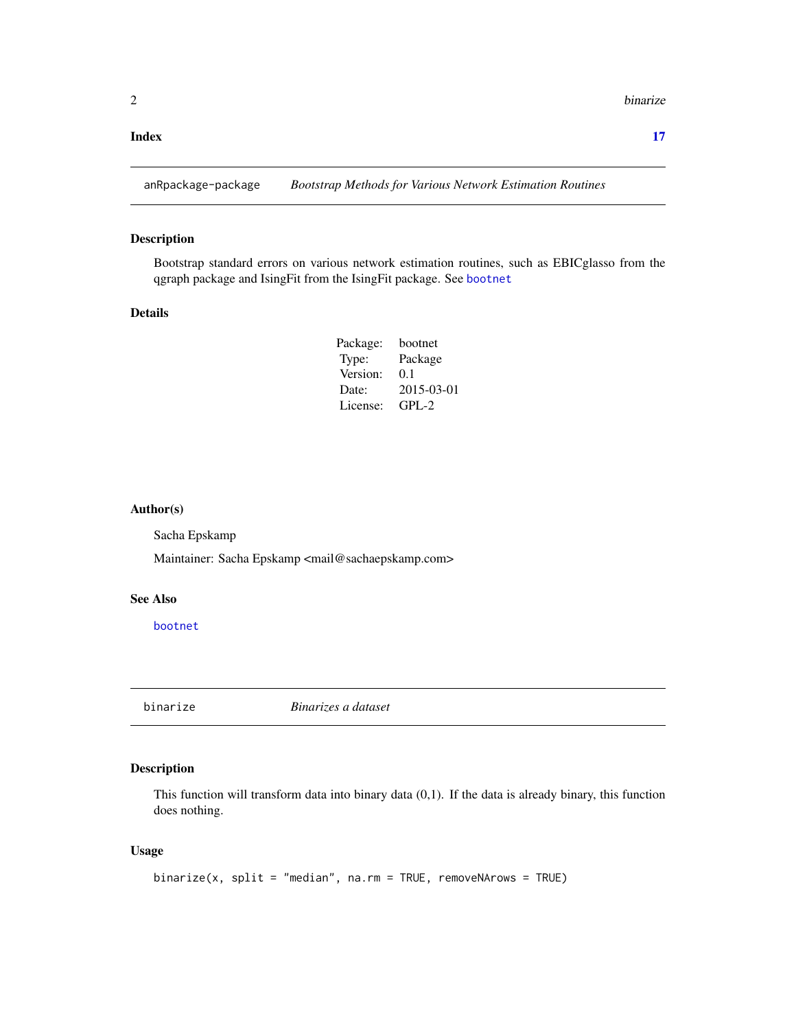#### <span id="page-1-0"></span>**Index** [17](#page-16-0)

anRpackage-package *Bootstrap Methods for Various Network Estimation Routines*

#### Description

Bootstrap standard errors on various network estimation routines, such as EBICglasso from the qgraph package and IsingFit from the IsingFit package. See [bootnet](#page-2-1)

### Details

| Package: | bootnet    |
|----------|------------|
| Type:    | Package    |
| Version: | 0.1        |
| Date:    | 2015-03-01 |
| License: | $GPI - 2$  |

#### Author(s)

Sacha Epskamp

Maintainer: Sacha Epskamp <mail@sachaepskamp.com>

# See Also

[bootnet](#page-2-1)

<span id="page-1-1"></span>binarize *Binarizes a dataset*

# Description

This function will transform data into binary data  $(0,1)$ . If the data is already binary, this function does nothing.

# Usage

```
binarize(x, split = "median", na.rm = TRUE, removeNArows = TRUE)
```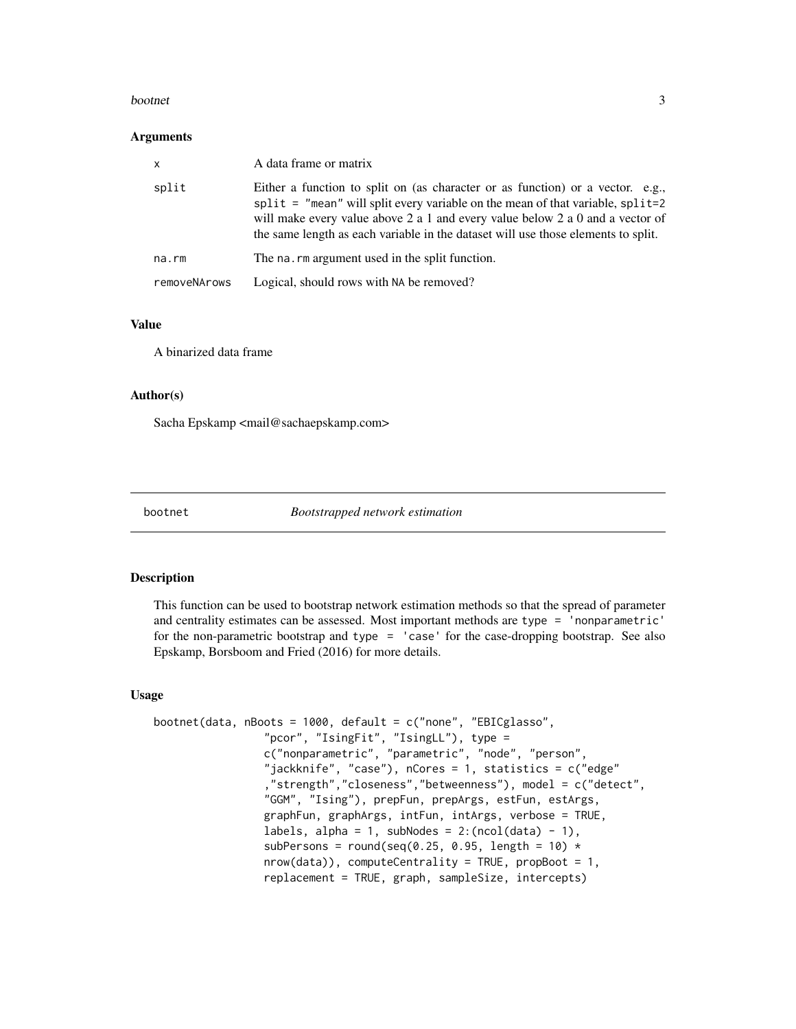#### <span id="page-2-0"></span>bootnet 3

#### **Arguments**

| $\mathsf{x}$ | A data frame or matrix                                                                                                                                                                                                                                                                                                                 |
|--------------|----------------------------------------------------------------------------------------------------------------------------------------------------------------------------------------------------------------------------------------------------------------------------------------------------------------------------------------|
| split        | Either a function to split on (as character or as function) or a vector. e.g.,<br>split = "mean" will split every variable on the mean of that variable, split=2<br>will make every value above 2 a 1 and every value below 2 a 0 and a vector of<br>the same length as each variable in the dataset will use those elements to split. |
| na.rm        | The na. rm argument used in the split function.                                                                                                                                                                                                                                                                                        |
| removeNArows | Logical, should rows with NA be removed?                                                                                                                                                                                                                                                                                               |

#### Value

A binarized data frame

# Author(s)

Sacha Epskamp <mail@sachaepskamp.com>

<span id="page-2-1"></span>

bootnet *Bootstrapped network estimation*

# Description

This function can be used to bootstrap network estimation methods so that the spread of parameter and centrality estimates can be assessed. Most important methods are type = 'nonparametric' for the non-parametric bootstrap and type = 'case' for the case-dropping bootstrap. See also Epskamp, Borsboom and Fried (2016) for more details.

# Usage

```
bootnet(data, nBoots = 1000, default = c("none", "EBICglasso",
                 "pcor", "IsingFit", "IsingLL"), type =
                 c("nonparametric", "parametric", "node", "person",
                 "jackknife", "case"), nCores = 1, statistics = c("edge"
                 ,"strength","closeness","betweenness"), model = c("detect",
                 "GGM", "Ising"), prepFun, prepArgs, estFun, estArgs,
                 graphFun, graphArgs, intFun, intArgs, verbose = TRUE,
                 labels, alpha = 1, subNodes = 2:(\text{ncol}(data) - 1),subPersons = round(seq(0.25, 0.95, length = 10) *nrow(data), computeCentrality = TRUE, propBoot = 1,
                 replacement = TRUE, graph, sampleSize, intercepts)
```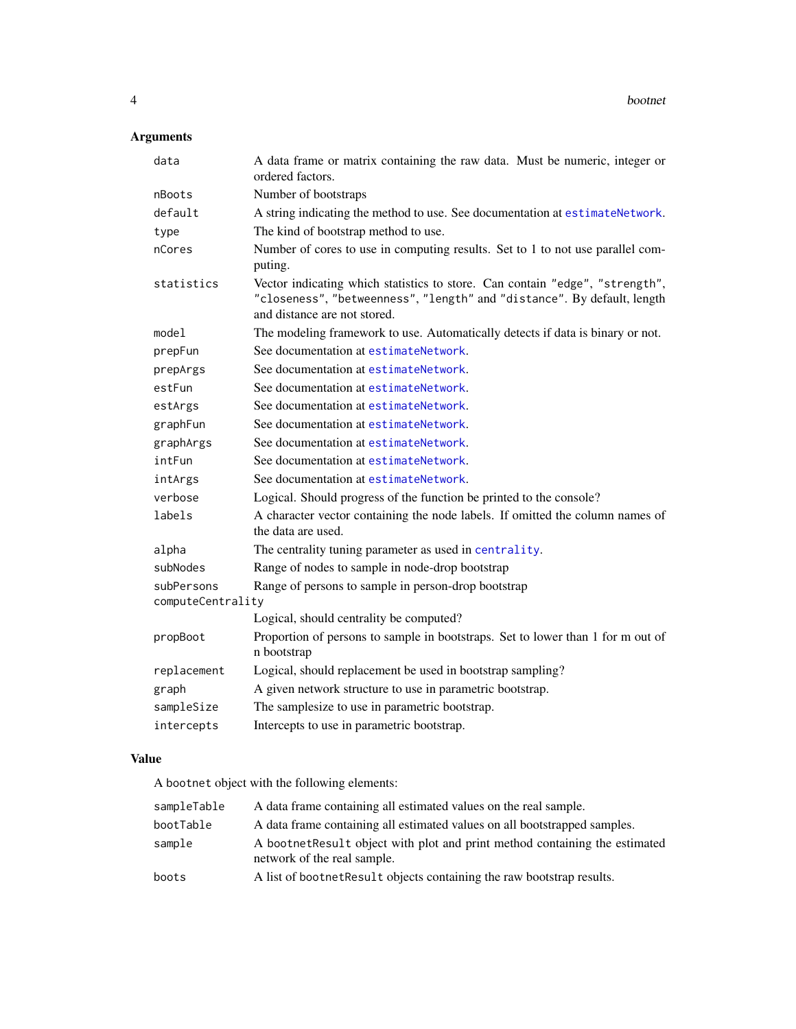# <span id="page-3-0"></span>Arguments

| data                            | A data frame or matrix containing the raw data. Must be numeric, integer or<br>ordered factors.                                                                                         |
|---------------------------------|-----------------------------------------------------------------------------------------------------------------------------------------------------------------------------------------|
| nBoots                          | Number of bootstraps                                                                                                                                                                    |
| default                         | A string indicating the method to use. See documentation at estimateNetwork.                                                                                                            |
| type                            | The kind of bootstrap method to use.                                                                                                                                                    |
| nCores                          | Number of cores to use in computing results. Set to 1 to not use parallel com-<br>puting.                                                                                               |
| statistics                      | Vector indicating which statistics to store. Can contain "edge", "strength",<br>"closeness", "betweenness", "length" and "distance". By default, length<br>and distance are not stored. |
| model                           | The modeling framework to use. Automatically detects if data is binary or not.                                                                                                          |
| prepFun                         | See documentation at estimateNetwork.                                                                                                                                                   |
| prepArgs                        | See documentation at estimateNetwork.                                                                                                                                                   |
| estFun                          | See documentation at estimateNetwork.                                                                                                                                                   |
| estArgs                         | See documentation at estimateNetwork.                                                                                                                                                   |
| graphFun                        | See documentation at estimateNetwork.                                                                                                                                                   |
| graphArgs                       | See documentation at estimateNetwork.                                                                                                                                                   |
| intFun                          | See documentation at estimateNetwork.                                                                                                                                                   |
| intArgs                         | See documentation at estimateNetwork.                                                                                                                                                   |
| verbose                         | Logical. Should progress of the function be printed to the console?                                                                                                                     |
| labels                          | A character vector containing the node labels. If omitted the column names of<br>the data are used.                                                                                     |
| alpha                           | The centrality tuning parameter as used in centrality.                                                                                                                                  |
| subNodes                        | Range of nodes to sample in node-drop bootstrap                                                                                                                                         |
| subPersons<br>computeCentrality | Range of persons to sample in person-drop bootstrap                                                                                                                                     |
|                                 | Logical, should centrality be computed?                                                                                                                                                 |
| propBoot                        | Proportion of persons to sample in bootstraps. Set to lower than 1 for m out of<br>n bootstrap                                                                                          |
| replacement                     | Logical, should replacement be used in bootstrap sampling?                                                                                                                              |
| graph                           | A given network structure to use in parametric bootstrap.                                                                                                                               |
| sampleSize                      | The samplesize to use in parametric bootstrap.                                                                                                                                          |
| intercepts                      | Intercepts to use in parametric bootstrap.                                                                                                                                              |

# Value

A bootnet object with the following elements:

| sampleTable | A data frame containing all estimated values on the real sample.                                           |
|-------------|------------------------------------------------------------------------------------------------------------|
| bootTable   | A data frame containing all estimated values on all bootstrapped samples.                                  |
| sample      | A bootnet Result object with plot and print method containing the estimated<br>network of the real sample. |
| boots       | A list of bootnet Result objects containing the raw bootstrap results.                                     |
|             |                                                                                                            |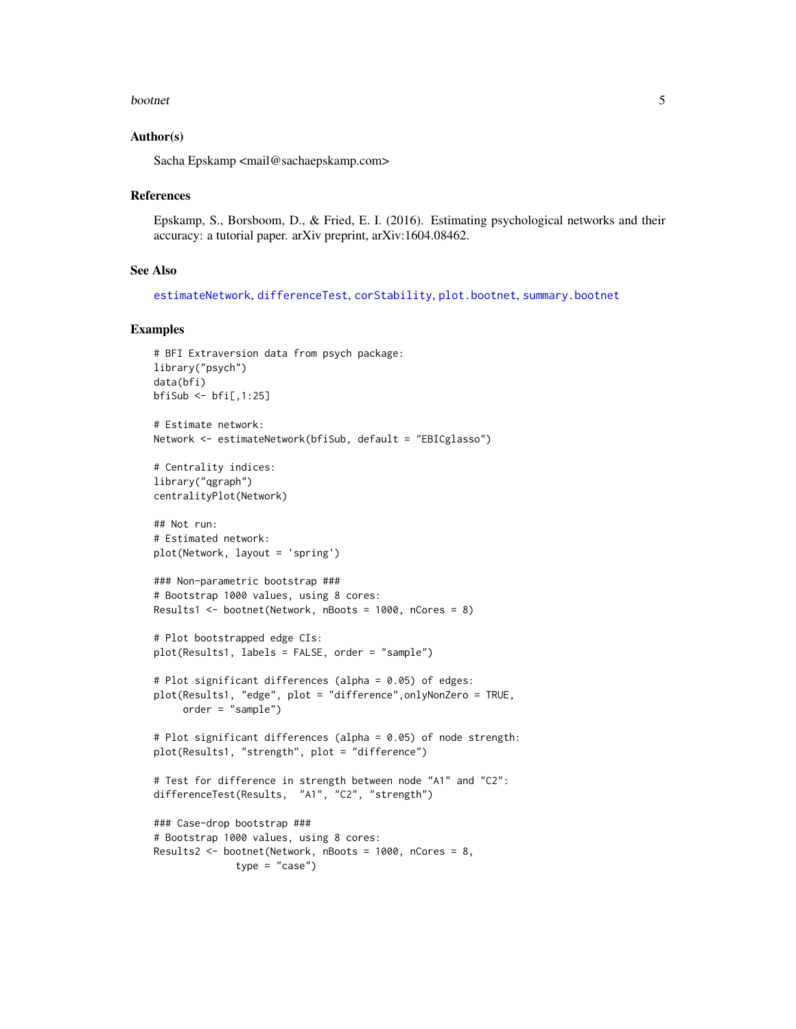#### <span id="page-4-0"></span>bootnet 5 and 5 and 5 and 5 and 5 and 5 and 5 and 5 and 5 and 5 and 5 and 5 and 5 and 5 and 5 and 5 and 5 and 5 and 5 and 5 and 5 and 5 and 5 and 5 and 5 and 5 and 5 and 5 and 5 and 5 and 5 and 5 and 5 and 5 and 5 and 5 an

#### Author(s)

Sacha Epskamp <mail@sachaepskamp.com>

#### References

Epskamp, S., Borsboom, D., & Fried, E. I. (2016). Estimating psychological networks and their accuracy: a tutorial paper. arXiv preprint, arXiv:1604.08462.

#### See Also

[estimateNetwork](#page-7-1), [differenceTest](#page-6-1), [corStability](#page-5-1), [plot.bootnet](#page-12-1), [summary.bootnet](#page-15-1)

#### Examples

```
# BFI Extraversion data from psych package:
library("psych")
data(bfi)
bfsiSub <- bf[,1:25]
# Estimate network:
Network <- estimateNetwork(bfiSub, default = "EBICglasso")
# Centrality indices:
library("qgraph")
centralityPlot(Network)
## Not run:
# Estimated network:
plot(Network, layout = 'spring')
### Non-parametric bootstrap ###
# Bootstrap 1000 values, using 8 cores:
Results1 <- bootnet(Network, nBoots = 1000, nCores = 8)
# Plot bootstrapped edge CIs:
plot(Results1, labels = FALSE, order = "sample")
# Plot significant differences (alpha = 0.05) of edges:
plot(Results1, "edge", plot = "difference",onlyNonZero = TRUE,
     order = "sample")
# Plot significant differences (alpha = 0.05) of node strength:
plot(Results1, "strength", plot = "difference")
# Test for difference in strength between node "A1" and "C2":
differenceTest(Results, "A1", "C2", "strength")
### Case-drop bootstrap ###
# Bootstrap 1000 values, using 8 cores:
Results2 <- bootnet(Network, nBoots = 1000, nCores = 8,
              type = "case")
```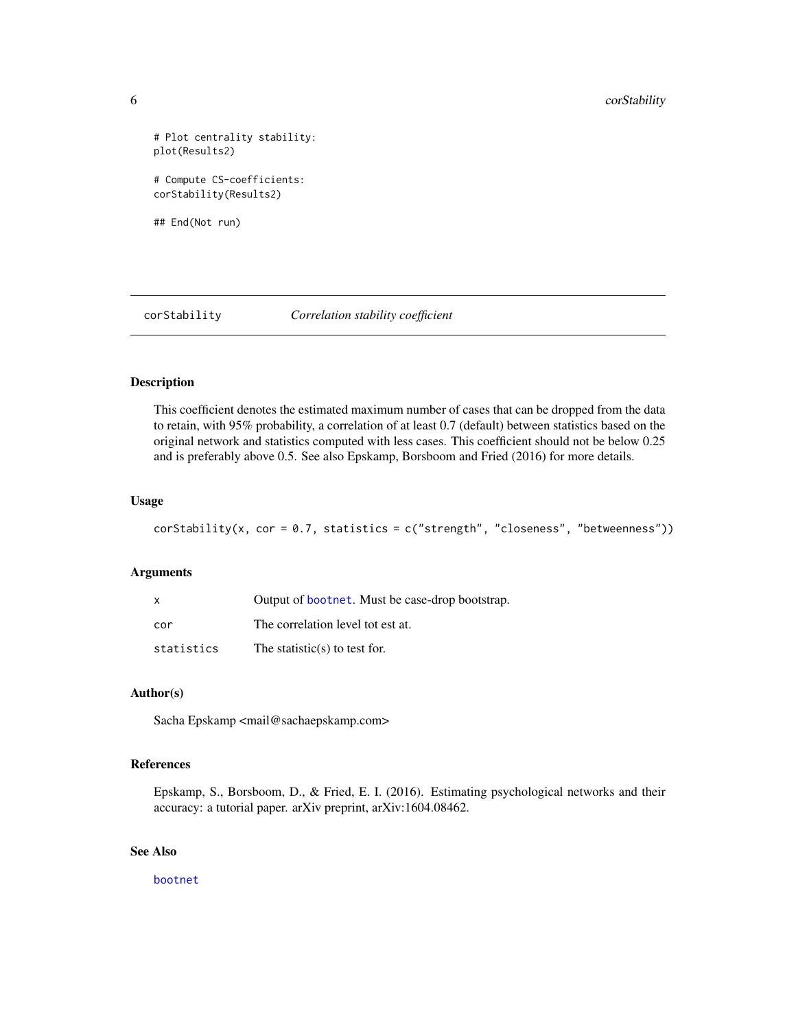```
# Plot centrality stability:
plot(Results2)
# Compute CS-coefficients:
corStability(Results2)
```
## End(Not run)

<span id="page-5-1"></span>corStability *Correlation stability coefficient*

#### Description

This coefficient denotes the estimated maximum number of cases that can be dropped from the data to retain, with 95% probability, a correlation of at least 0.7 (default) between statistics based on the original network and statistics computed with less cases. This coefficient should not be below 0.25 and is preferably above 0.5. See also Epskamp, Borsboom and Fried (2016) for more details.

# Usage

```
corStability(x, cor = 0.7, statistics = c("strength", "closeness", "betweenness"))
```
# Arguments

| X          | Output of <b>bootnet</b> . Must be case-drop bootstrap. |
|------------|---------------------------------------------------------|
| cor        | The correlation level tot est at.                       |
| statistics | The statistic(s) to test for.                           |

# Author(s)

Sacha Epskamp <mail@sachaepskamp.com>

# References

Epskamp, S., Borsboom, D., & Fried, E. I. (2016). Estimating psychological networks and their accuracy: a tutorial paper. arXiv preprint, arXiv:1604.08462.

# See Also

[bootnet](#page-2-1)

<span id="page-5-0"></span>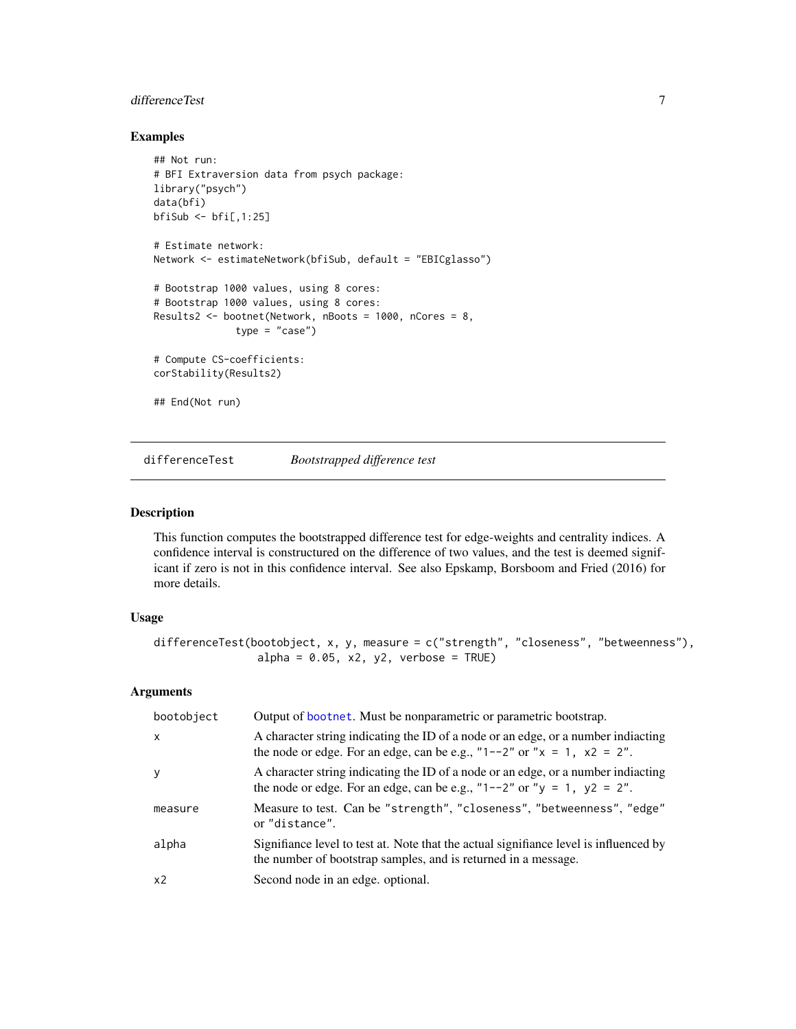# <span id="page-6-0"></span>differenceTest 7

# Examples

```
## Not run:
# BFI Extraversion data from psych package:
library("psych")
data(bfi)
bfish \leftarrow bfi[, 1:25]# Estimate network:
Network <- estimateNetwork(bfiSub, default = "EBICglasso")
# Bootstrap 1000 values, using 8 cores:
# Bootstrap 1000 values, using 8 cores:
Results2 <- bootnet(Network, nBoots = 1000, nCores = 8,
              type = "case")# Compute CS-coefficients:
corStability(Results2)
## End(Not run)
```
<span id="page-6-1"></span>differenceTest *Bootstrapped difference test*

# Description

This function computes the bootstrapped difference test for edge-weights and centrality indices. A confidence interval is constructured on the difference of two values, and the test is deemed significant if zero is not in this confidence interval. See also Epskamp, Borsboom and Fried (2016) for more details.

#### Usage

```
differenceTest(bootobject, x, y, measure = c("strength", "closeness", "betweenness"),
                alpha = 0.05, x2, y2, verbose = TRUE)
```
#### Arguments

| bootobject | Output of bootnet. Must be nonparametric or parametric bootstrap.                                                                                                   |
|------------|---------------------------------------------------------------------------------------------------------------------------------------------------------------------|
| X          | A character string indicating the ID of a node or an edge, or a number indiacting<br>the node or edge. For an edge, can be e.g., "1--2" or " $x = 1$ , $x^2 = 2$ ". |
| y          | A character string indicating the ID of a node or an edge, or a number indiacting<br>the node or edge. For an edge, can be e.g., "1--2" or " $y = 1$ , $y2 = 2$ ".  |
| measure    | Measure to test. Can be "strength", "closeness", "betweenness", "edge"<br>or "distance".                                                                            |
| alpha      | Signifiance level to test at. Note that the actual signifiance level is influenced by<br>the number of bootstrap samples, and is returned in a message.             |
| x2         | Second node in an edge. optional.                                                                                                                                   |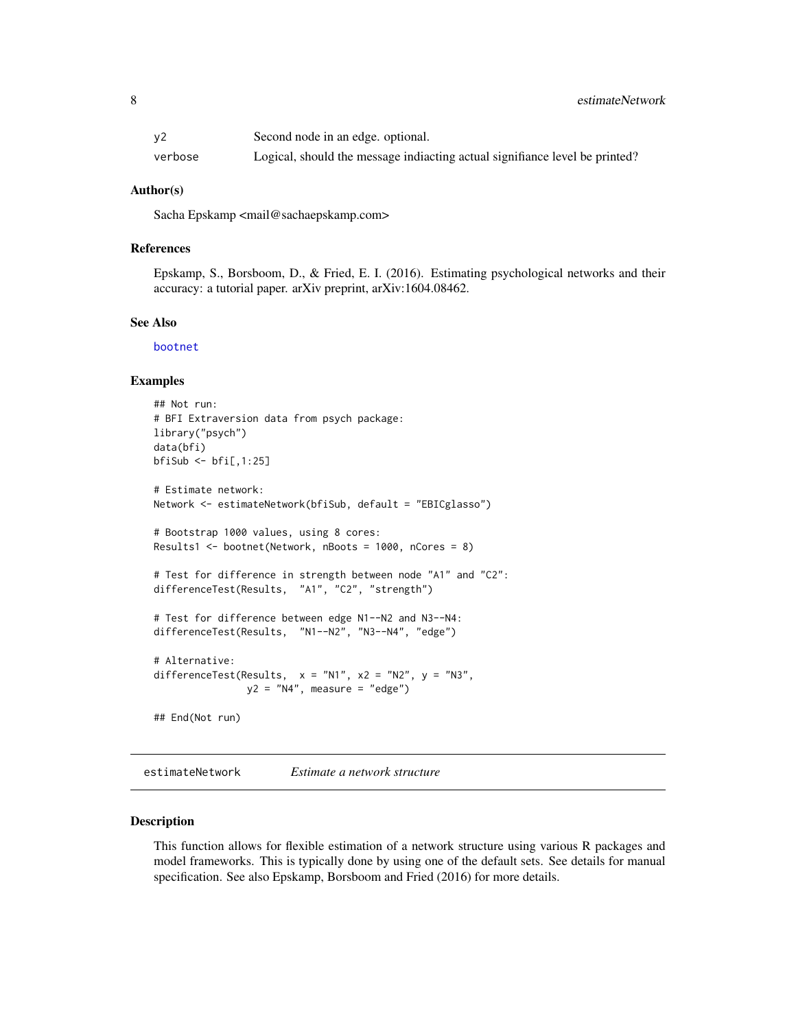<span id="page-7-0"></span>

| у2      | Second node in an edge. optional.                                           |
|---------|-----------------------------------------------------------------------------|
| verbose | Logical, should the message indiacting actual signifiance level be printed? |

#### Author(s)

Sacha Epskamp <mail@sachaepskamp.com>

#### References

Epskamp, S., Borsboom, D., & Fried, E. I. (2016). Estimating psychological networks and their accuracy: a tutorial paper. arXiv preprint, arXiv:1604.08462.

#### See Also

[bootnet](#page-2-1)

#### Examples

```
## Not run:
# BFI Extraversion data from psych package:
library("psych")
data(bfi)
bfish \leftarrow bfi[, 1:25]# Estimate network:
Network <- estimateNetwork(bfiSub, default = "EBICglasso")
# Bootstrap 1000 values, using 8 cores:
Results1 <- bootnet(Network, nBoots = 1000, nCores = 8)
# Test for difference in strength between node "A1" and "C2":
differenceTest(Results, "A1", "C2", "strength")
# Test for difference between edge N1--N2 and N3--N4:
differenceTest(Results, "N1--N2", "N3--N4", "edge")
# Alternative:
differenceTest(Results, x = "N1", x2 = "N2", y = "N3",y2 = "N4", measure = "edge")## End(Not run)
```
<span id="page-7-1"></span>estimateNetwork *Estimate a network structure*

#### Description

This function allows for flexible estimation of a network structure using various R packages and model frameworks. This is typically done by using one of the default sets. See details for manual specification. See also Epskamp, Borsboom and Fried (2016) for more details.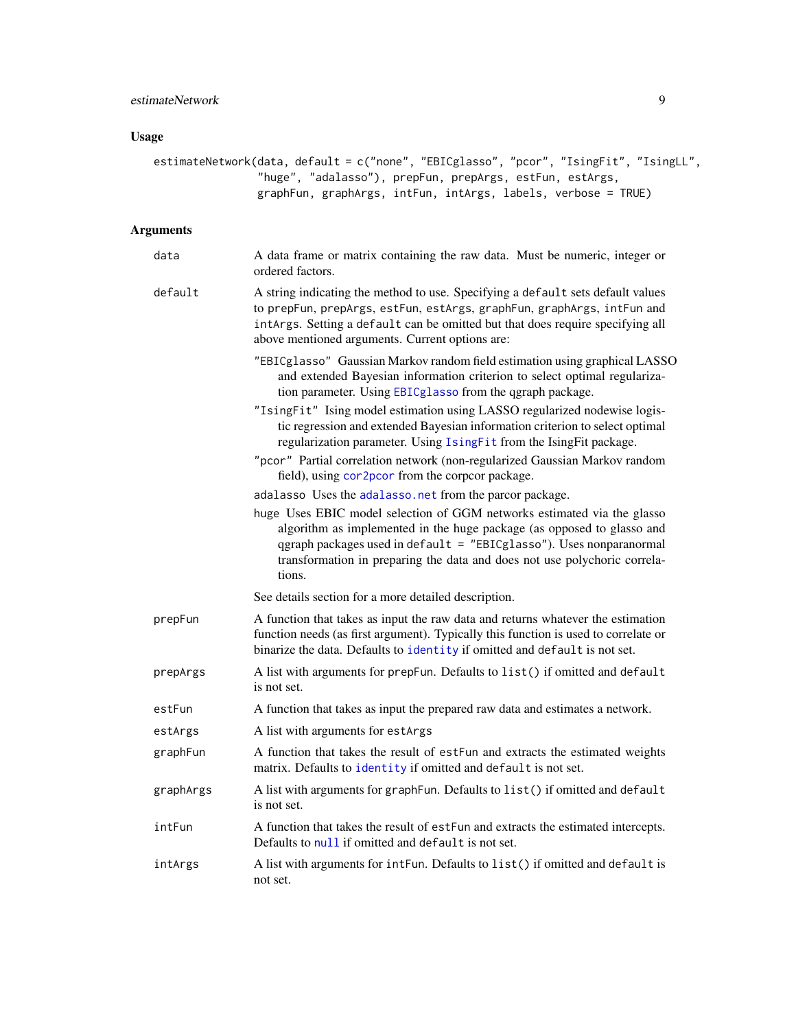# <span id="page-8-0"></span>Usage

| estimateNetwork(data, default = c("none", "EBICglasso", "pcor", "IsingFit", "IsingLL", |
|----------------------------------------------------------------------------------------|
| "huge", "adalasso"), prepFun, prepArgs, estFun, estArgs,                               |
| graphFun, graphArgs, intFun, intArgs, labels, verbose = TRUE)                          |

# Arguments

| data      | A data frame or matrix containing the raw data. Must be numeric, integer or<br>ordered factors.                                                                                                                                                                                                                 |
|-----------|-----------------------------------------------------------------------------------------------------------------------------------------------------------------------------------------------------------------------------------------------------------------------------------------------------------------|
| default   | A string indicating the method to use. Specifying a default sets default values<br>to prepFun, prepArgs, estFun, estArgs, graphFun, graphArgs, intFun and<br>intArgs. Setting a default can be omitted but that does require specifying all<br>above mentioned arguments. Current options are:                  |
|           | "EBICglasso" Gaussian Markov random field estimation using graphical LASSO<br>and extended Bayesian information criterion to select optimal regulariza-<br>tion parameter. Using EBICglasso from the qgraph package.                                                                                            |
|           | "IsingFit" Ising model estimation using LASSO regularized nodewise logis-<br>tic regression and extended Bayesian information criterion to select optimal<br>regularization parameter. Using IsingFit from the IsingFit package.                                                                                |
|           | "pcor" Partial correlation network (non-regularized Gaussian Markov random<br>field), using cor2pcor from the corpcor package.                                                                                                                                                                                  |
|           | adalasso Uses the adalasso.net from the parcor package.                                                                                                                                                                                                                                                         |
|           | huge Uses EBIC model selection of GGM networks estimated via the glasso<br>algorithm as implemented in the huge package (as opposed to glasso and<br>qgraph packages used in default = "EBICglasso"). Uses nonparanormal<br>transformation in preparing the data and does not use polychoric correla-<br>tions. |
|           | See details section for a more detailed description.                                                                                                                                                                                                                                                            |
| prepFun   | A function that takes as input the raw data and returns whatever the estimation<br>function needs (as first argument). Typically this function is used to correlate or<br>binarize the data. Defaults to identity if omitted and default is not set.                                                            |
| prepArgs  | A list with arguments for prepFun. Defaults to list() if omitted and default<br>is not set.                                                                                                                                                                                                                     |
| estFun    | A function that takes as input the prepared raw data and estimates a network.                                                                                                                                                                                                                                   |
| estArgs   | A list with arguments for estArgs                                                                                                                                                                                                                                                                               |
| graphFun  | A function that takes the result of estFun and extracts the estimated weights<br>matrix. Defaults to identity if omitted and default is not set.                                                                                                                                                                |
| graphArgs | A list with arguments for graphFun. Defaults to list() if omitted and default<br>is not set.                                                                                                                                                                                                                    |
| intFun    | A function that takes the result of estFun and extracts the estimated intercepts.<br>Defaults to null if omitted and default is not set.                                                                                                                                                                        |
| intArgs   | A list with arguments for intFun. Defaults to list() if omitted and default is<br>not set.                                                                                                                                                                                                                      |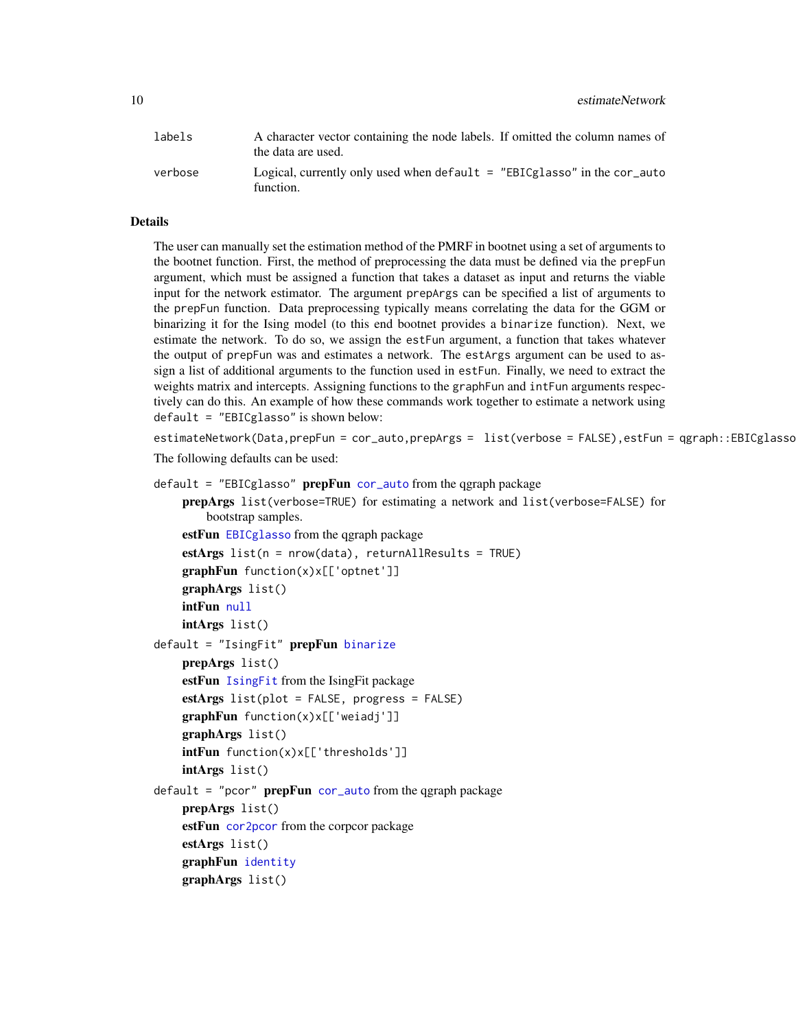<span id="page-9-0"></span>10 estimateNetwork

| labels  | A character vector containing the node labels. If omitted the column names of<br>the data are used. |
|---------|-----------------------------------------------------------------------------------------------------|
| verbose | Logical, currently only used when $default = "EBICglasso"$ in the cor-auto<br>function.             |

#### Details

The user can manually set the estimation method of the PMRF in bootnet using a set of arguments to the bootnet function. First, the method of preprocessing the data must be defined via the prepFun argument, which must be assigned a function that takes a dataset as input and returns the viable input for the network estimator. The argument prepArgs can be specified a list of arguments to the prepFun function. Data preprocessing typically means correlating the data for the GGM or binarizing it for the Ising model (to this end bootnet provides a binarize function). Next, we estimate the network. To do so, we assign the estFun argument, a function that takes whatever the output of prepFun was and estimates a network. The estArgs argument can be used to assign a list of additional arguments to the function used in estFun. Finally, we need to extract the weights matrix and intercepts. Assigning functions to the graphFun and intFun arguments respectively can do this. An example of how these commands work together to estimate a network using default = "EBICglasso" is shown below:

estimateNetwork(Data,prepFun = cor\_auto,prepArgs = list(verbose = FALSE),estFun = qgraph::EBICglassc

The following defaults can be used:

```
cor_auto from the qgraph packageprepArgs list(verbose=TRUE) for estimating a network and list(verbose=FALSE) for
       bootstrap samples.
    estFun EBICglasso from the qgraph package
    estArgs list(n = nrow(data), returnAllResults = TRUE)
    graphFun function(x)x[['optnet']]
   graphArgs list()
   intFun null
   intArgs list()
binarize
   prepArgs list()
    estFun IsingFit from the IsingFit package
    estArgs list(plot = FALSE, progress = FALSE)
    graphFun function(x)x[['weiadj']]
    graphArgs list()
   intFun function(x)x[['thresholds']]
   intArgs list()
default = "pcor" prepFuncor_auto from the qgraph package
    prepArgs list()
    cor2pcor from the corpcor package
    estArgs list()
    graphFun identity
    graphArgs list()
```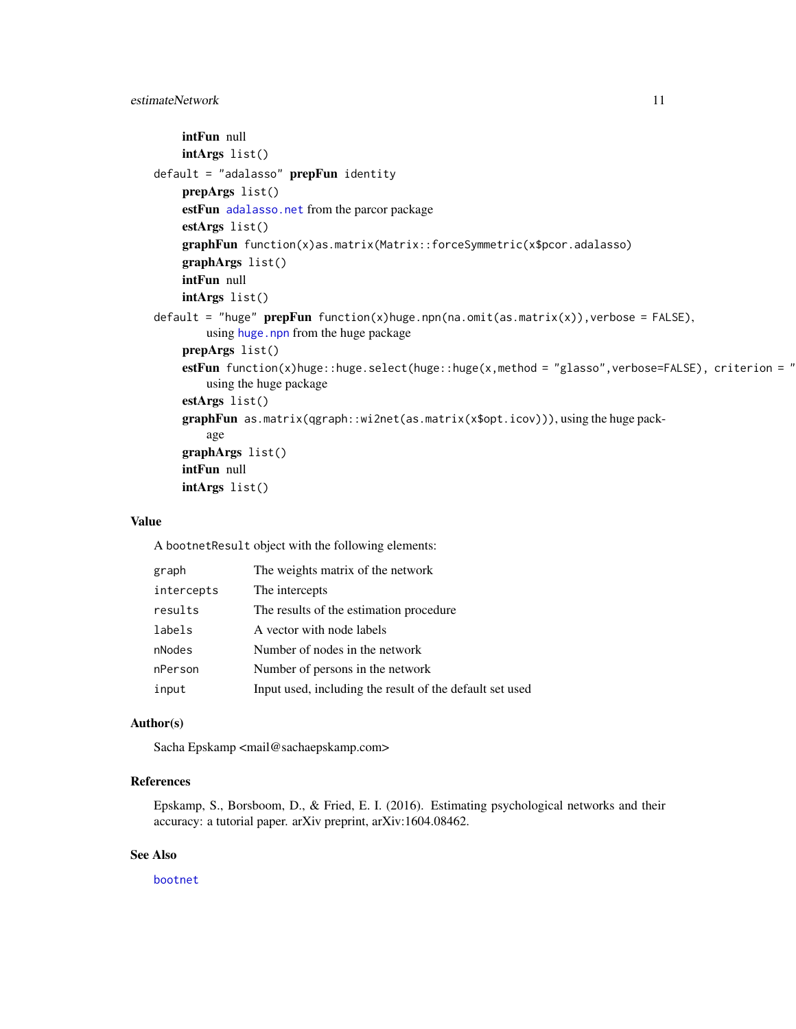# <span id="page-10-0"></span>estimateNetwork 11

```
intFun null
    intArgs list()
default = "adalasso" <b>prepFun</b> identityprepArgs list()
    estFun adalasso.net from the parcor package
    estArgs list()
    graphFun function(x)as.matrix(Matrix::forceSymmetric(x$pcor.adalasso)
    graphArgs list()
    intFun null
    intArgs list()
default = "huge" prepFun function(x)huge.npn(na.omit(as.matrix(x)), verbose = FALSE),
        huge.npn from the huge package
    prepArgs list()
    estFun function(x)huge::huge.select(huge::huge(x,method = "glasso",verbose=FALSE), criterion = "
        using the huge package
    estArgs list()
    graphFun as.matrix(qgraph::wi2net(as.matrix(x$opt.icov))), using the huge pack-
        age
    graphArgs list()
    intFun null
    intArgs list()
```
### Value

A bootnetResult object with the following elements:

| graph      | The weights matrix of the network                        |
|------------|----------------------------------------------------------|
| intercepts | The intercepts                                           |
| results    | The results of the estimation procedure                  |
| labels     | A vector with node labels                                |
| nNodes     | Number of nodes in the network                           |
| nPerson    | Number of persons in the network                         |
| input      | Input used, including the result of the default set used |

# Author(s)

Sacha Epskamp <mail@sachaepskamp.com>

# References

Epskamp, S., Borsboom, D., & Fried, E. I. (2016). Estimating psychological networks and their accuracy: a tutorial paper. arXiv preprint, arXiv:1604.08462.

# See Also

[bootnet](#page-2-1)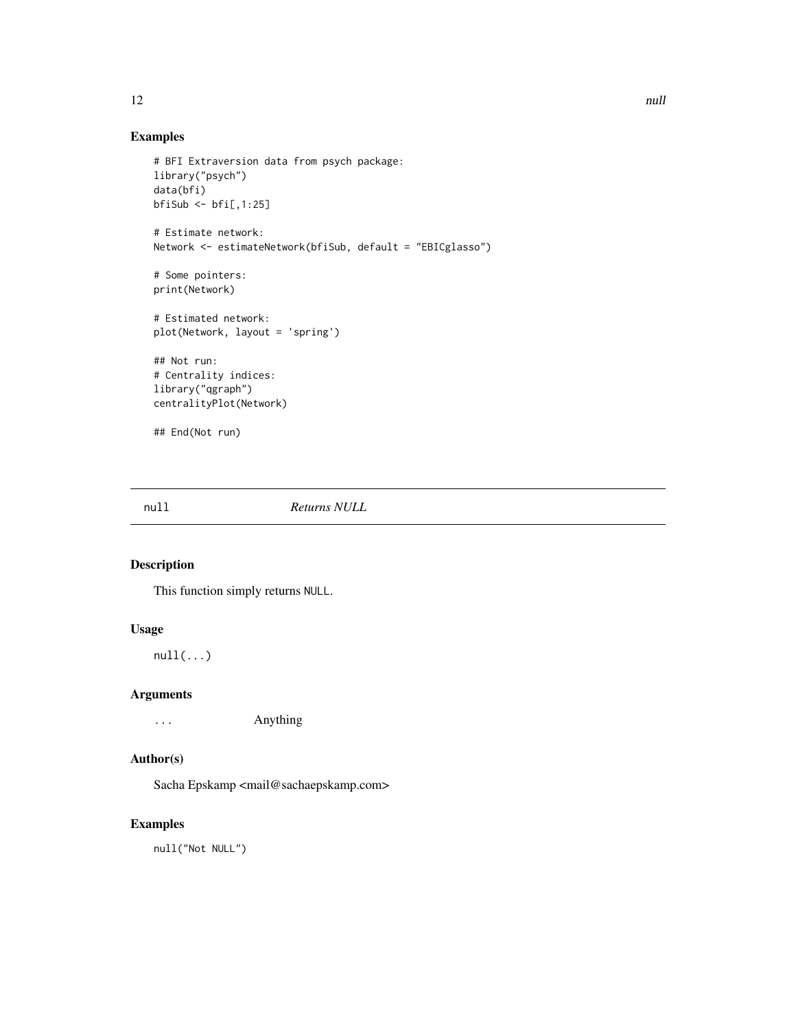# <span id="page-11-0"></span>Examples

```
# BFI Extraversion data from psych package:
library("psych")
data(bfi)
bfiSub <- bfi[,1:25]
# Estimate network:
Network <- estimateNetwork(bfiSub, default = "EBICglasso")
# Some pointers:
print(Network)
# Estimated network:
plot(Network, layout = 'spring')
## Not run:
# Centrality indices:
library("qgraph")
centralityPlot(Network)
## End(Not run)
```
<span id="page-11-1"></span>null *Returns NULL*

# Description

This function simply returns NULL.

# Usage

 $null(...)$ 

#### Arguments

... Anything

# Author(s)

Sacha Epskamp <mail@sachaepskamp.com>

# Examples

null("Not NULL")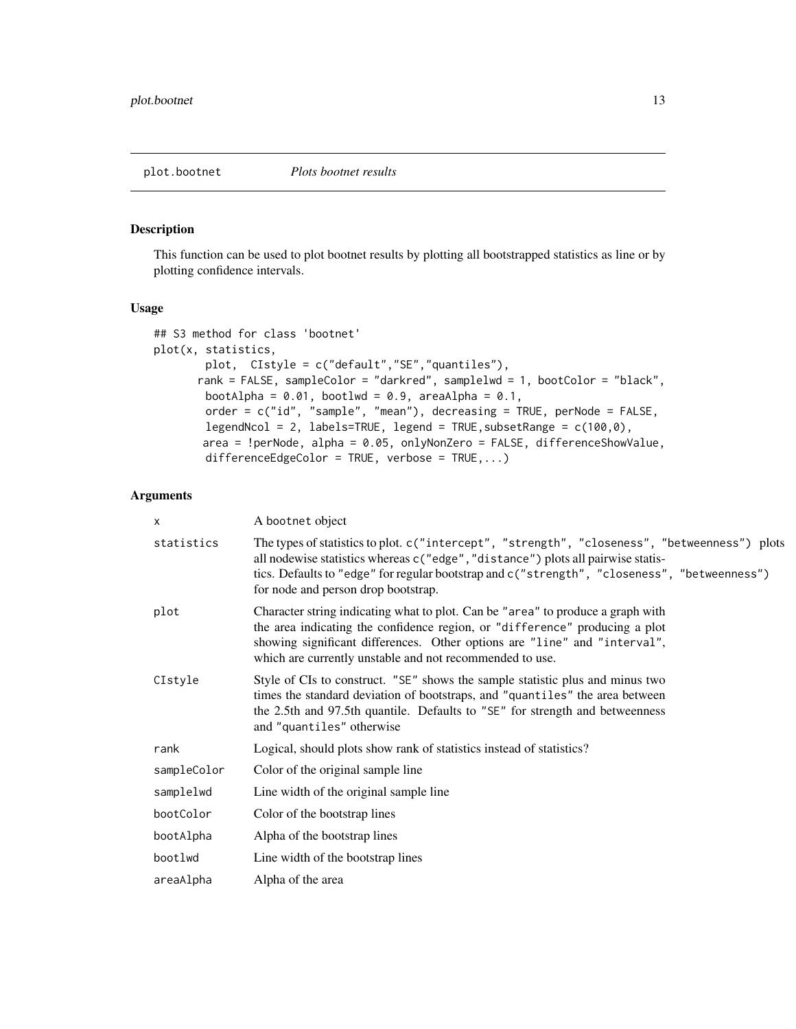## <span id="page-12-1"></span><span id="page-12-0"></span>Description

This function can be used to plot bootnet results by plotting all bootstrapped statistics as line or by plotting confidence intervals.

# Usage

```
## S3 method for class 'bootnet'
plot(x, statistics,
        plot, CIstyle = c("default","SE","quantiles"),
      rank = FALSE, sampleColor = "darkred", samplelwd = 1, bootColor = "black",
        bootAlpha = 0.01, bootlwd = 0.9, areaAlpha = 0.1,
        order = c("id", "sample", "mean"), decreasing = TRUE, perNode = FALSE,
        legendNcol = 2, labels=TRUE, legend = TRUE,subsetRange = c(100,0),
       area = !perNode, alpha = 0.05, onlyNonZero = FALSE, differenceShowValue,
        differenceEdgeColor = TRUE, verbose = TRUE,...)
```
# Arguments

| X           | A bootnet object                                                                                                                                                                                                                                                                                                         |
|-------------|--------------------------------------------------------------------------------------------------------------------------------------------------------------------------------------------------------------------------------------------------------------------------------------------------------------------------|
| statistics  | The types of statistics to plot. c("intercept", "strength", "closeness", "betweenness") plots<br>all nodewise statistics whereas c("edge", "distance") plots all pairwise statis-<br>tics. Defaults to "edge" for regular bootstrap and c("strength", "closeness", "betweenness")<br>for node and person drop bootstrap. |
| plot        | Character string indicating what to plot. Can be "area" to produce a graph with<br>the area indicating the confidence region, or "difference" producing a plot<br>showing significant differences. Other options are "line" and "interval",<br>which are currently unstable and not recommended to use.                  |
| CIstyle     | Style of CIs to construct. "SE" shows the sample statistic plus and minus two<br>times the standard deviation of bootstraps, and "quantiles" the area between<br>the 2.5th and 97.5th quantile. Defaults to "SE" for strength and betweenness<br>and "quantiles" otherwise                                               |
| rank        | Logical, should plots show rank of statistics instead of statistics?                                                                                                                                                                                                                                                     |
| sampleColor | Color of the original sample line                                                                                                                                                                                                                                                                                        |
| samplelwd   | Line width of the original sample line                                                                                                                                                                                                                                                                                   |
| bootColor   | Color of the bootstrap lines                                                                                                                                                                                                                                                                                             |
| bootAlpha   | Alpha of the bootstrap lines                                                                                                                                                                                                                                                                                             |
| bootlwd     | Line width of the bootstrap lines                                                                                                                                                                                                                                                                                        |
| areaAlpha   | Alpha of the area                                                                                                                                                                                                                                                                                                        |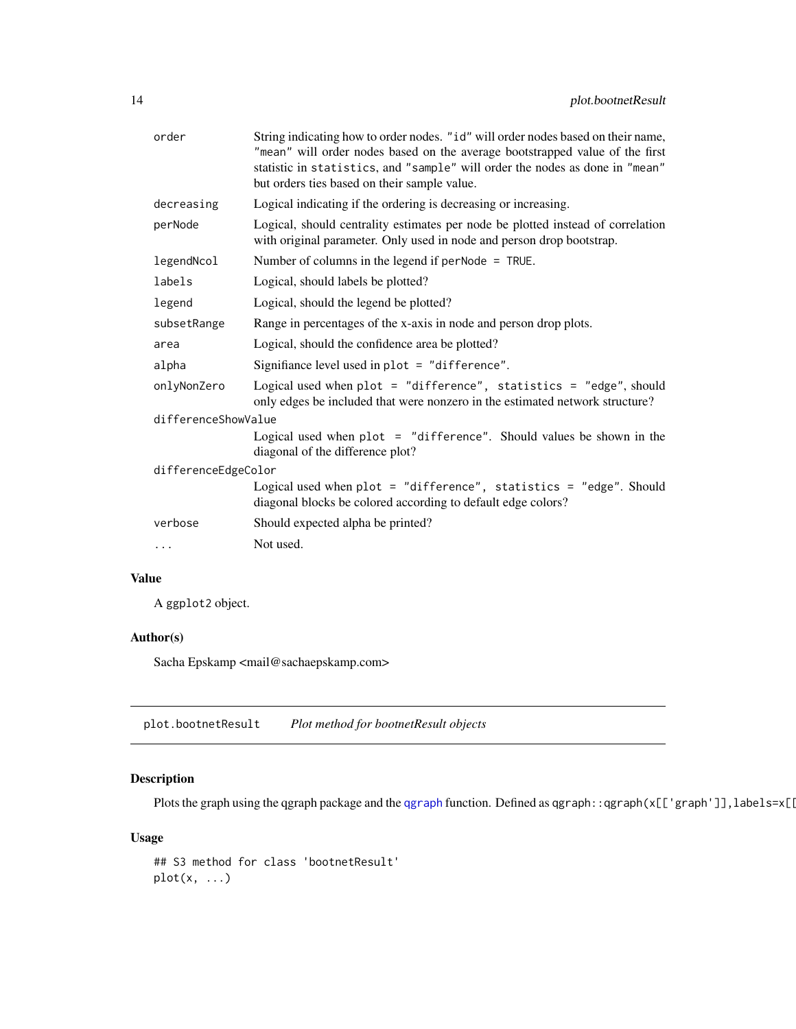<span id="page-13-0"></span>

| order               | String indicating how to order nodes. "id" will order nodes based on their name,<br>"mean" will order nodes based on the average bootstrapped value of the first<br>statistic in statistics, and "sample" will order the nodes as done in "mean"<br>but orders ties based on their sample value. |
|---------------------|--------------------------------------------------------------------------------------------------------------------------------------------------------------------------------------------------------------------------------------------------------------------------------------------------|
| decreasing          | Logical indicating if the ordering is decreasing or increasing.                                                                                                                                                                                                                                  |
| perNode             | Logical, should centrality estimates per node be plotted instead of correlation<br>with original parameter. Only used in node and person drop bootstrap.                                                                                                                                         |
| legendNcol          | Number of columns in the legend if $perNode = TRUE$ .                                                                                                                                                                                                                                            |
| labels              | Logical, should labels be plotted?                                                                                                                                                                                                                                                               |
| legend              | Logical, should the legend be plotted?                                                                                                                                                                                                                                                           |
| subsetRange         | Range in percentages of the x-axis in node and person drop plots.                                                                                                                                                                                                                                |
| area                | Logical, should the confidence area be plotted?                                                                                                                                                                                                                                                  |
| alpha               | Signifiance level used in $plot = "difference".$                                                                                                                                                                                                                                                 |
| onlyNonZero         | Logical used when $plot = "difference", statistics = "edge", should$<br>only edges be included that were nonzero in the estimated network structure?                                                                                                                                             |
| differenceShowValue |                                                                                                                                                                                                                                                                                                  |
|                     | Logical used when $plot = "difference".$ Should values be shown in the<br>diagonal of the difference plot?                                                                                                                                                                                       |
| differenceEdgeColor |                                                                                                                                                                                                                                                                                                  |
|                     | Logical used when $plot = "difference", statistics = "edge". Should$<br>diagonal blocks be colored according to default edge colors?                                                                                                                                                             |
| verbose             | Should expected alpha be printed?                                                                                                                                                                                                                                                                |
| .                   | Not used.                                                                                                                                                                                                                                                                                        |

# Value

A ggplot2 object.

# Author(s)

Sacha Epskamp <mail@sachaepskamp.com>

plot.bootnetResult *Plot method for bootnetResult objects*

# Description

Plots the graph using the [qgraph](#page-0-0) package and the qgraph function. Defined as qgraph::qgraph(x[['graph']],labels=x[[

# Usage

```
## S3 method for class 'bootnetResult'
plot(x, ...)
```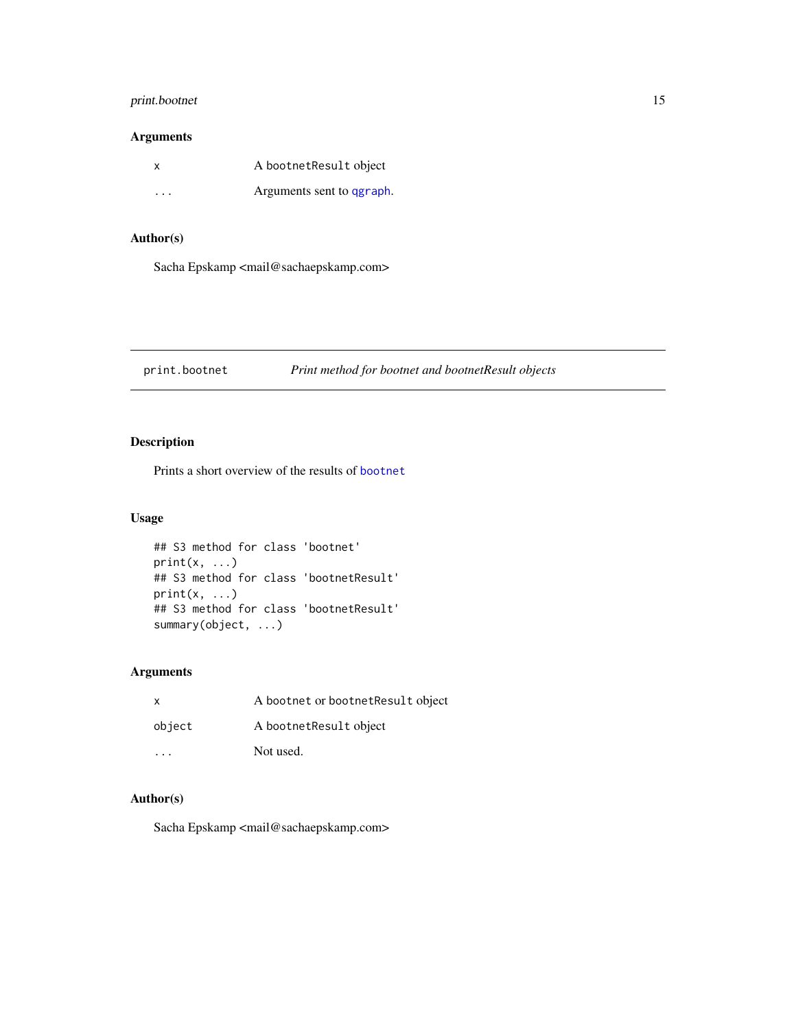# <span id="page-14-0"></span>print.bootnet 15

# Arguments

| x       | A bootnetResult object    |
|---------|---------------------------|
| $\cdot$ | Arguments sent to qgraph. |

# Author(s)

Sacha Epskamp <mail@sachaepskamp.com>

#### print.bootnet *Print method for bootnet and bootnetResult objects*

# Description

Prints a short overview of the results of [bootnet](#page-2-1)

# Usage

```
## S3 method for class 'bootnet'
print(x, \ldots)## S3 method for class 'bootnetResult'
print(x, \ldots)## S3 method for class 'bootnetResult'
summary(object, ...)
```
# Arguments

| $\mathsf{x}$ | A bootnet or bootnet Result object |
|--------------|------------------------------------|
| object       | A bootnet Result object            |
| .            | Not used.                          |

# Author(s)

Sacha Epskamp <mail@sachaepskamp.com>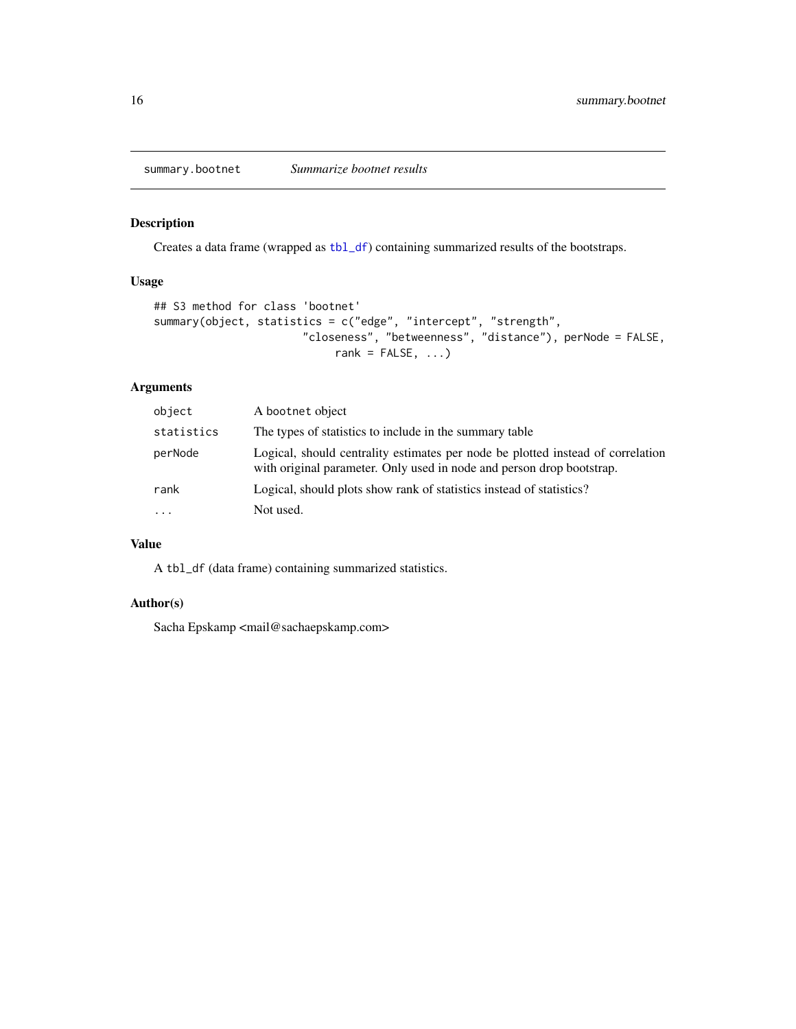<span id="page-15-1"></span><span id="page-15-0"></span>

# Description

Creates a data frame (wrapped as [tbl\\_df](#page-0-0)) containing summarized results of the bootstraps.

# Usage

```
## S3 method for class 'bootnet'
summary(object, statistics = c("edge", "intercept", "strength",
                       "closeness", "betweenness", "distance"), perNode = FALSE,
                            rank = FALSE, ...
```
# Arguments

| object     | A bootnet object                                                                                                                                         |
|------------|----------------------------------------------------------------------------------------------------------------------------------------------------------|
| statistics | The types of statistics to include in the summary table                                                                                                  |
| perNode    | Logical, should centrality estimates per node be plotted instead of correlation<br>with original parameter. Only used in node and person drop bootstrap. |
| rank       | Logical, should plots show rank of statistics instead of statistics?                                                                                     |
| $\ddots$ . | Not used.                                                                                                                                                |

# Value

A tbl\_df (data frame) containing summarized statistics.

# Author(s)

Sacha Epskamp <mail@sachaepskamp.com>